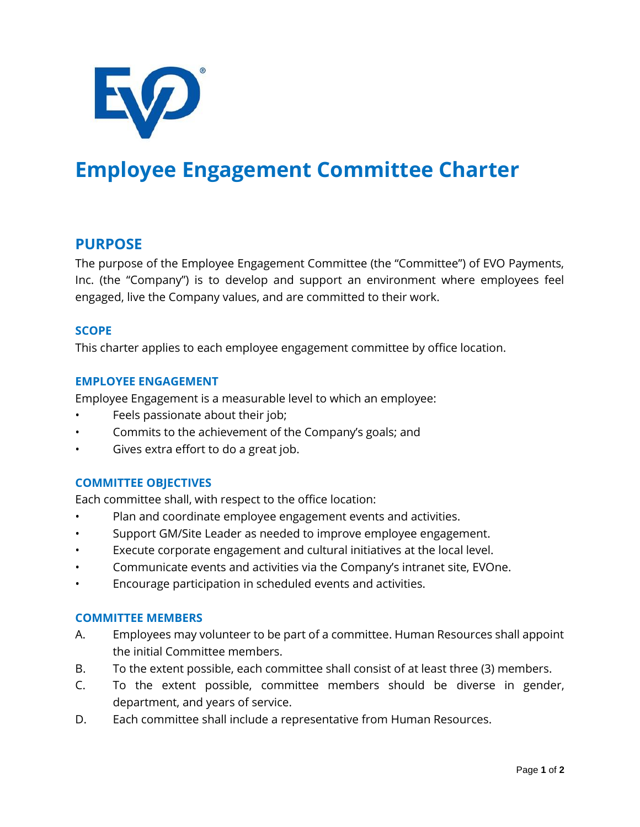

# **Employee Engagement Committee Charter**

# **PURPOSE**

The purpose of the Employee Engagement Committee (the "Committee") of EVO Payments, Inc. (the "Company") is to develop and support an environment where employees feel engaged, live the Company values, and are committed to their work.

#### **SCOPE**

This charter applies to each employee engagement committee by office location.

#### **EMPLOYEE ENGAGEMENT**

Employee Engagement is a measurable level to which an employee:

- Feels passionate about their job;
- Commits to the achievement of the Company's goals; and
- Gives extra effort to do a great job.

#### **COMMITTEE OBJECTIVES**

Each committee shall, with respect to the office location:

- Plan and coordinate employee engagement events and activities.
- Support GM/Site Leader as needed to improve employee engagement.
- Execute corporate engagement and cultural initiatives at the local level.
- Communicate events and activities via the Company's intranet site, EVOne.
- Encourage participation in scheduled events and activities.

#### **COMMITTEE MEMBERS**

- A. Employees may volunteer to be part of a committee. Human Resources shall appoint the initial Committee members.
- B. To the extent possible, each committee shall consist of at least three (3) members.
- C. To the extent possible, committee members should be diverse in gender, department, and years of service.
- D. Each committee shall include a representative from Human Resources.